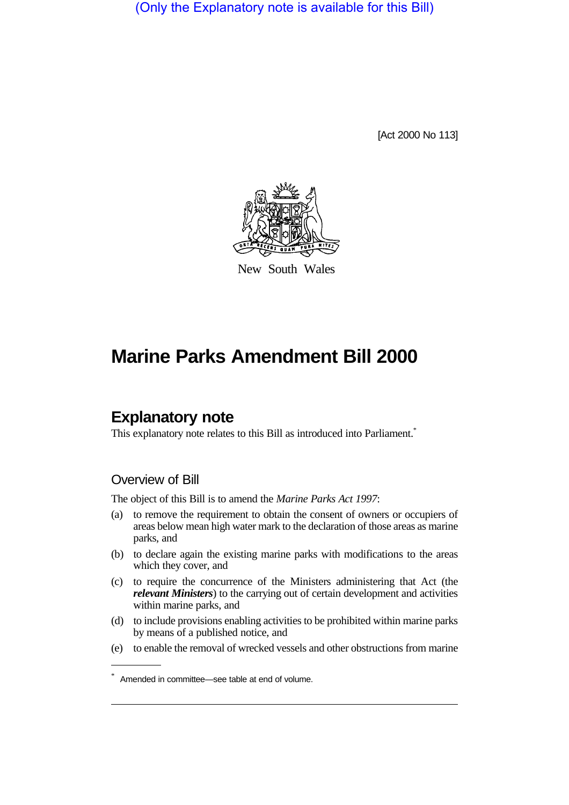(Only the Explanatory note is available for this Bill)

[Act 2000 No 113]



New South Wales

# **Marine Parks Amendment Bill 2000**

# **Explanatory note**

This explanatory note relates to this Bill as introduced into Parliament.<sup>\*</sup>

## Overview of Bill

The object of this Bill is to amend the *Marine Parks Act 1997*:

- (a) to remove the requirement to obtain the consent of owners or occupiers of areas below mean high water mark to the declaration of those areas as marine parks, and
- (b) to declare again the existing marine parks with modifications to the areas which they cover, and
- (c) to require the concurrence of the Ministers administering that Act (the *relevant Ministers*) to the carrying out of certain development and activities within marine parks, and
- (d) to include provisions enabling activities to be prohibited within marine parks by means of a published notice, and
- (e) to enable the removal of wrecked vessels and other obstructions from marine

<sup>\*</sup> Amended in committee—see table at end of volume.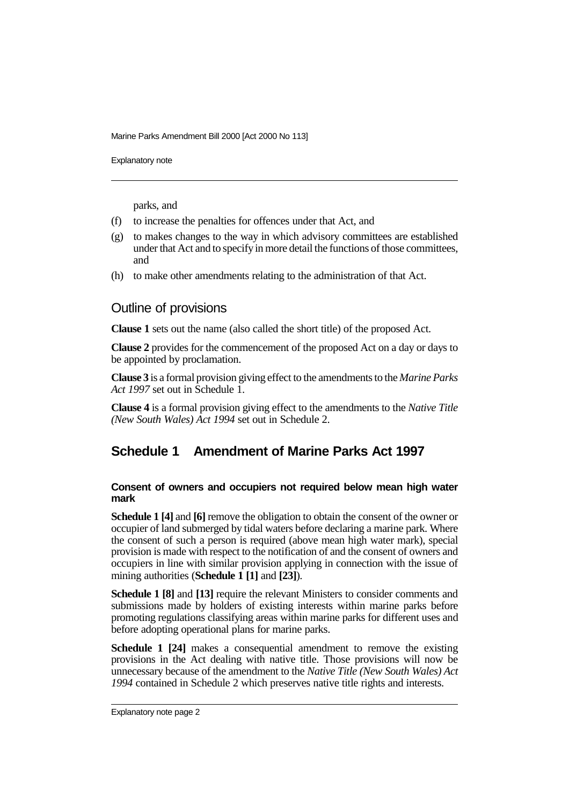Explanatory note

parks, and

- (f) to increase the penalties for offences under that Act, and
- (g) to makes changes to the way in which advisory committees are established under that Act and to specify in more detail the functions of those committees, and
- (h) to make other amendments relating to the administration of that Act.

### Outline of provisions

**Clause 1** sets out the name (also called the short title) of the proposed Act.

**Clause 2** provides for the commencement of the proposed Act on a day or days to be appointed by proclamation.

**Clause 3** is a formal provision giving effect to the amendments to the *Marine Parks Act 1997* set out in Schedule 1.

**Clause 4** is a formal provision giving effect to the amendments to the *Native Title (New South Wales) Act 1994* set out in Schedule 2.

# **Schedule 1 Amendment of Marine Parks Act 1997**

#### **Consent of owners and occupiers not required below mean high water mark**

**Schedule 1 [4]** and **[6]** remove the obligation to obtain the consent of the owner or occupier of land submerged by tidal waters before declaring a marine park. Where the consent of such a person is required (above mean high water mark), special provision is made with respect to the notification of and the consent of owners and occupiers in line with similar provision applying in connection with the issue of mining authorities (**Schedule 1 [1]** and **[23]**).

**Schedule 1 [8]** and **[13]** require the relevant Ministers to consider comments and submissions made by holders of existing interests within marine parks before promoting regulations classifying areas within marine parks for different uses and before adopting operational plans for marine parks.

**Schedule 1 [24]** makes a consequential amendment to remove the existing provisions in the Act dealing with native title. Those provisions will now be unnecessary because of the amendment to the *Native Title (New South Wales) Act 1994* contained in Schedule 2 which preserves native title rights and interests.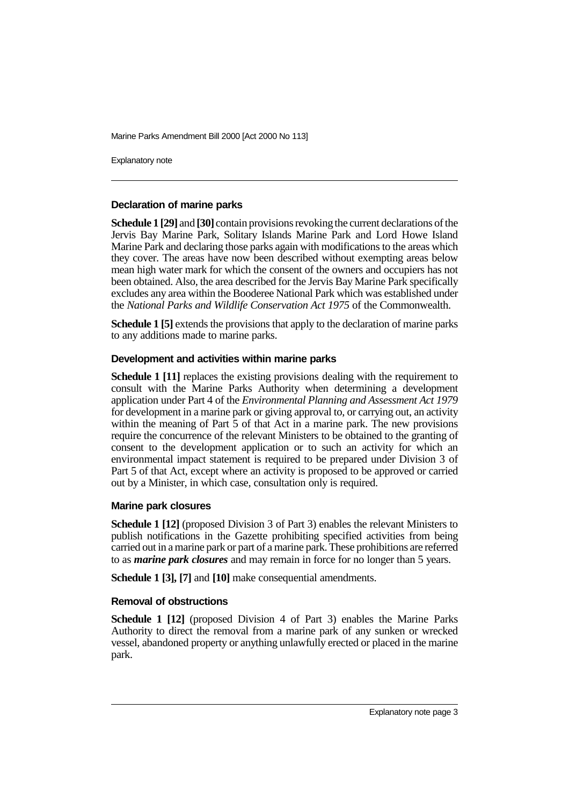Explanatory note

#### **Declaration of marine parks**

**Schedule 1 [29]** and **[30]** contain provisions revoking the current declarations of the Jervis Bay Marine Park, Solitary Islands Marine Park and Lord Howe Island Marine Park and declaring those parks again with modifications to the areas which they cover. The areas have now been described without exempting areas below mean high water mark for which the consent of the owners and occupiers has not been obtained. Also, the area described for the Jervis Bay Marine Park specifically excludes any area within the Booderee National Park which was established under the *National Parks and Wildlife Conservation Act 1975* of the Commonwealth.

**Schedule 1 [5]** extends the provisions that apply to the declaration of marine parks to any additions made to marine parks.

#### **Development and activities within marine parks**

**Schedule 1 [11]** replaces the existing provisions dealing with the requirement to consult with the Marine Parks Authority when determining a development application under Part 4 of the *Environmental Planning and Assessment Act 1979* for development in a marine park or giving approval to, or carrying out, an activity within the meaning of Part 5 of that Act in a marine park. The new provisions require the concurrence of the relevant Ministers to be obtained to the granting of consent to the development application or to such an activity for which an environmental impact statement is required to be prepared under Division 3 of Part 5 of that Act, except where an activity is proposed to be approved or carried out by a Minister, in which case, consultation only is required.

#### **Marine park closures**

**Schedule 1 [12]** (proposed Division 3 of Part 3) enables the relevant Ministers to publish notifications in the Gazette prohibiting specified activities from being carried out in a marine park or part of a marine park. These prohibitions are referred to as *marine park closures* and may remain in force for no longer than 5 years.

**Schedule 1 [3], [7]** and **[10]** make consequential amendments.

#### **Removal of obstructions**

**Schedule 1 [12]** (proposed Division 4 of Part 3) enables the Marine Parks Authority to direct the removal from a marine park of any sunken or wrecked vessel, abandoned property or anything unlawfully erected or placed in the marine park.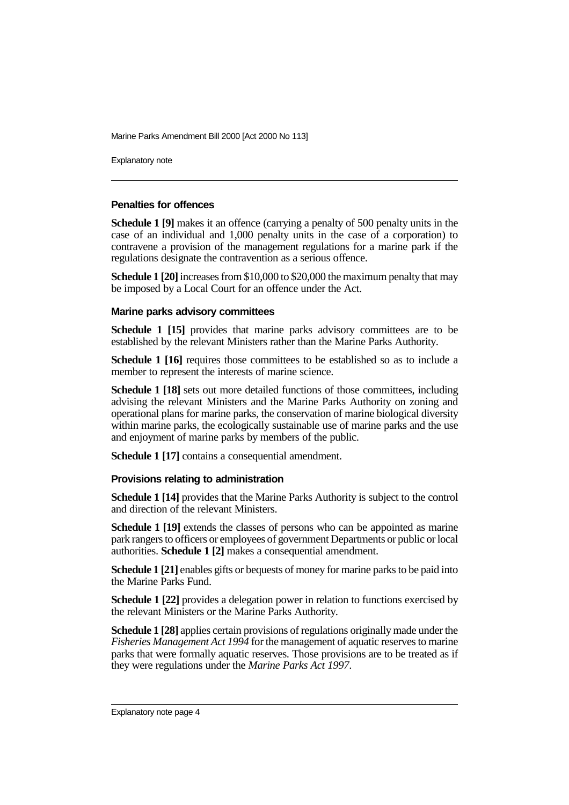Explanatory note

### **Penalties for offences**

**Schedule 1 [9]** makes it an offence (carrying a penalty of 500 penalty units in the case of an individual and 1,000 penalty units in the case of a corporation) to contravene a provision of the management regulations for a marine park if the regulations designate the contravention as a serious offence.

**Schedule 1 [20]** increases from \$10,000 to \$20,000 the maximum penalty that may be imposed by a Local Court for an offence under the Act.

#### **Marine parks advisory committees**

**Schedule 1 [15]** provides that marine parks advisory committees are to be established by the relevant Ministers rather than the Marine Parks Authority.

**Schedule 1 [16]** requires those committees to be established so as to include a member to represent the interests of marine science.

**Schedule 1 [18]** sets out more detailed functions of those committees, including advising the relevant Ministers and the Marine Parks Authority on zoning and operational plans for marine parks, the conservation of marine biological diversity within marine parks, the ecologically sustainable use of marine parks and the use and enjoyment of marine parks by members of the public.

**Schedule 1 [17]** contains a consequential amendment.

#### **Provisions relating to administration**

**Schedule 1 [14]** provides that the Marine Parks Authority is subject to the control and direction of the relevant Ministers.

**Schedule 1 [19]** extends the classes of persons who can be appointed as marine park rangers to officers or employees of government Departments or public or local authorities. **Schedule 1 [2]** makes a consequential amendment.

**Schedule 1 [21]** enables gifts or bequests of money for marine parks to be paid into the Marine Parks Fund.

**Schedule 1 [22]** provides a delegation power in relation to functions exercised by the relevant Ministers or the Marine Parks Authority.

**Schedule 1 [28]** applies certain provisions of regulations originally made under the *Fisheries Management Act 1994* for the management of aquatic reserves to marine parks that were formally aquatic reserves. Those provisions are to be treated as if they were regulations under the *Marine Parks Act 1997*.